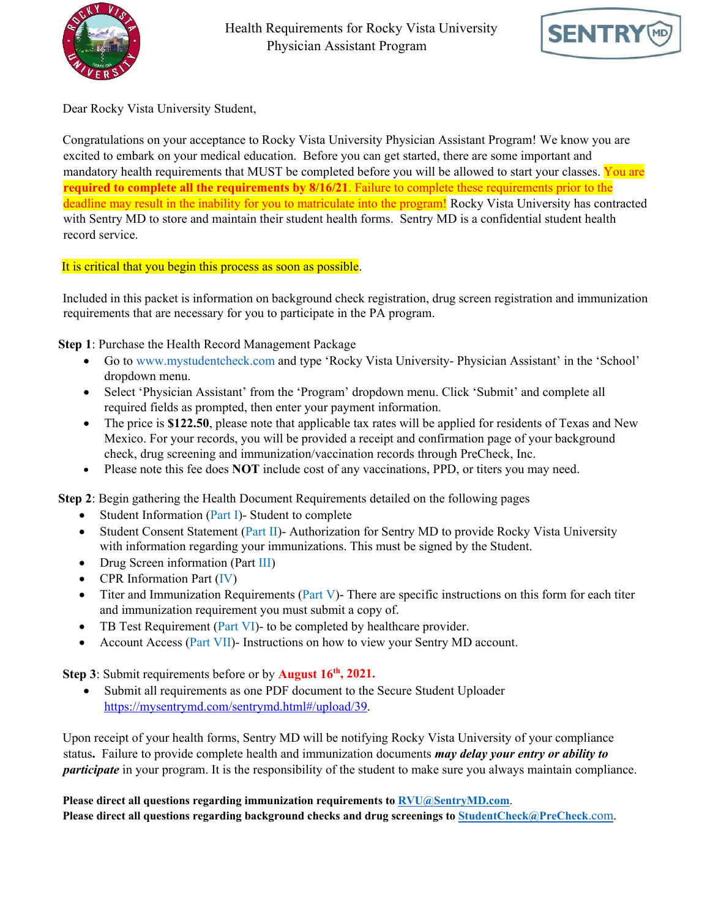



Dear Rocky Vista University Student,

Congratulations on your acceptance to Rocky Vista University Physician Assistant Program! We know you are excited to embark on your medical education. Before you can get started, there are some important and mandatory health requirements that MUST be completed before you will be allowed to start your classes. You are **required to complete all the requirements by 8/16/21**. Failure to complete these requirements prior to the deadline may result in the inability for you to matriculate into the program! Rocky Vista University has contracted with Sentry MD to store and maintain their student health forms. Sentry MD is a confidential student health record service.

It is critical that you begin this process as soon as possible.

Included in this packet is information on background check registration, drug screen registration and immunization requirements that are necessary for you to participate in the PA program.

**Step 1**: Purchase the Health Record Management Package

- Go to www.mystudentcheck.com and type 'Rocky Vista University- Physician Assistant' in the 'School' dropdown menu.
- Select 'Physician Assistant' from the 'Program' dropdown menu. Click 'Submit' and complete all required fields as prompted, then enter your payment information.
- The price is **\$122.50**, please note that applicable tax rates will be applied for residents of Texas and New Mexico. For your records, you will be provided a receipt and confirmation page of your background check, drug screening and immunization/vaccination records through PreCheck, Inc.
- Please note this fee does **NOT** include cost of any vaccinations, PPD, or titers you may need.

**Step 2**: Begin gathering the Health Document Requirements detailed on the following pages

- Student Information (Part I)- Student to complete
- Student Consent Statement (Part II)- Authorization for Sentry MD to provide Rocky Vista University with information regarding your immunizations. This must be signed by the Student.
- Drug Screen information (Part III)
- CPR Information Part (IV)
- Titer and Immunization Requirements (Part V)- There are specific instructions on this form for each titer and immunization requirement you must submit a copy of.
- TB Test Requirement (Part VI)- to be completed by healthcare provider.
- Account Access (Part VII)- Instructions on how to view your Sentry MD account.

**Step 3**: Submit requirements before or by **August 16<sup>th</sup>**, 2021.

• Submit all requirements as one PDF document to the Secure Student Uploader [https://mysentrymd.com/sentrymd.html#/upload/39.](https://mysentrymd.com/sentrymd.html#/upload/39)

Upon receipt of your health forms, Sentry MD will be notifying Rocky Vista University of your compliance status**.** Failure to provide complete health and immunization documents *may delay your entry or ability to participate* in your program. It is the responsibility of the student to make sure you always maintain compliance.

**Please direct all questions regarding immunization requirements to [RVU@SentryMD.com](mailto:RVU@SentryMD.com)**. **Please direct all questions regarding background checks and drug screenings to [StudentCheck@PreCheck](mailto:StudentCheck@PreCheck.com)**[.com.](mailto:StudentCheck@PreCheck.com)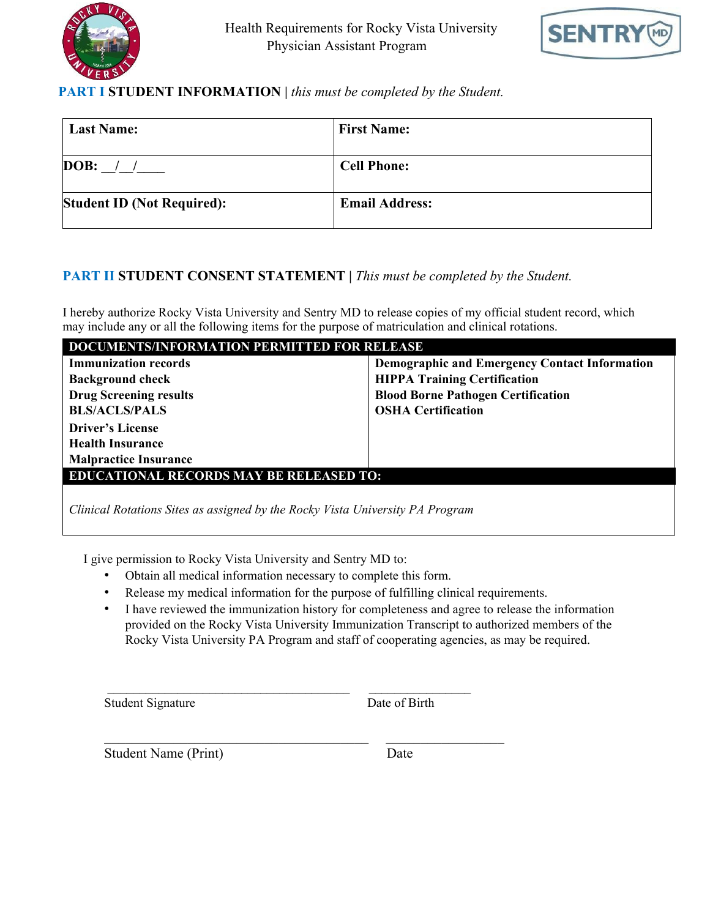



## **PART I STUDENT INFORMATION** *| this must be completed by the Student.*

| <b>Last Name:</b>                 | <b>First Name:</b>    |
|-----------------------------------|-----------------------|
| DOB:                              | <b>Cell Phone:</b>    |
| <b>Student ID (Not Required):</b> | <b>Email Address:</b> |

## **PART II STUDENT CONSENT STATEMENT |** *This must be completed by the Student.*

I hereby authorize Rocky Vista University and Sentry MD to release copies of my official student record, which may include any or all the following items for the purpose of matriculation and clinical rotations.

| <b>DOCUMENTS/INFORMATION PERMITTED FOR RELEASE</b> |                                                      |  |  |  |
|----------------------------------------------------|------------------------------------------------------|--|--|--|
| <b>Immunization records</b>                        | <b>Demographic and Emergency Contact Information</b> |  |  |  |
| <b>Background check</b>                            | <b>HIPPA Training Certification</b>                  |  |  |  |
| <b>Drug Screening results</b>                      | <b>Blood Borne Pathogen Certification</b>            |  |  |  |
| <b>BLS/ACLS/PALS</b>                               | <b>OSHA Certification</b>                            |  |  |  |
| <b>Driver's License</b>                            |                                                      |  |  |  |
| <b>Health Insurance</b>                            |                                                      |  |  |  |
| <b>Malpractice Insurance</b>                       |                                                      |  |  |  |
| <b>EDUCATIONAL RECORDS MAY BE RELEASED TO:</b>     |                                                      |  |  |  |
|                                                    |                                                      |  |  |  |

*Clinical Rotations Sites as assigned by the Rocky Vista University PA Program* 

I give permission to Rocky Vista University and Sentry MD to:

• Obtain all medical information necessary to complete this form.

\_\_\_\_\_\_\_\_\_\_\_\_\_\_\_\_\_\_\_\_\_\_\_\_\_\_\_\_\_\_\_\_\_\_\_\_\_\_ \_\_\_\_\_\_\_\_\_\_\_\_\_\_\_\_

\_\_\_\_\_\_\_\_\_\_\_\_\_\_\_\_\_\_\_\_\_\_\_\_\_\_\_\_\_\_\_\_\_\_\_\_\_\_ \_\_\_\_\_\_\_\_\_\_\_\_\_\_\_\_\_

- Release my medical information for the purpose of fulfilling clinical requirements.
- I have reviewed the immunization history for completeness and agree to release the information provided on the Rocky Vista University Immunization Transcript to authorized members of the Rocky Vista University PA Program and staff of cooperating agencies, as may be required.

Student Signature Date of Birth

Student Name (Print) Date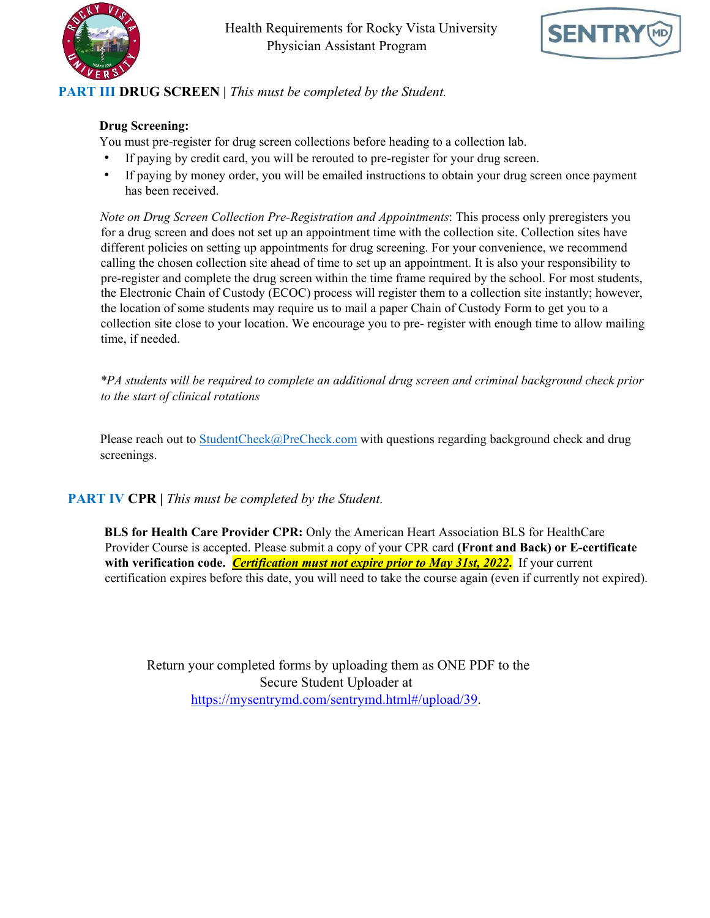



# **PART III DRUG SCREEN |** *This must be completed by the Student.*

## **Drug Screening:**

You must pre-register for drug screen collections before heading to a collection lab.

- If paying by credit card, you will be rerouted to pre-register for your drug screen.
- If paying by money order, you will be emailed instructions to obtain your drug screen once payment has been received.

*Note on Drug Screen Collection Pre-Registration and Appointments*: This process only preregisters you for a drug screen and does not set up an appointment time with the collection site. Collection sites have different policies on setting up appointments for drug screening. For your convenience, we recommend calling the chosen collection site ahead of time to set up an appointment. It is also your responsibility to pre-register and complete the drug screen within the time frame required by the school. For most students, the Electronic Chain of Custody (ECOC) process will register them to a collection site instantly; however, the location of some students may require us to mail a paper Chain of Custody Form to get you to a collection site close to your location. We encourage you to pre- register with enough time to allow mailing time, if needed.

*\*PA students will be required to complete an additional drug screen and criminal background check prior to the start of clinical rotations*

Please reach out to [StudentCheck@PreCheck.com](mailto:StudentCheck@PreCheck.com) with questions regarding background check and drug screenings.

## **PART IV CPR |** *This must be completed by the Student.*

**BLS for Health Care Provider CPR:** Only the American Heart Association BLS for HealthCare Provider Course is accepted. Please submit a copy of your CPR card **(Front and Back) or E-certificate with verification code.** *Certification must not expire prior to May 31st, 2022***.** If your current certification expires before this date, you will need to take the course again (even if currently not expired).

Return your completed forms by uploading them as ONE PDF to the Secure Student Uploader at [https://mysentrymd.com/sentrymd.html#/upload/39.](https://mysentrymd.com/sentrymd.html#/upload/39)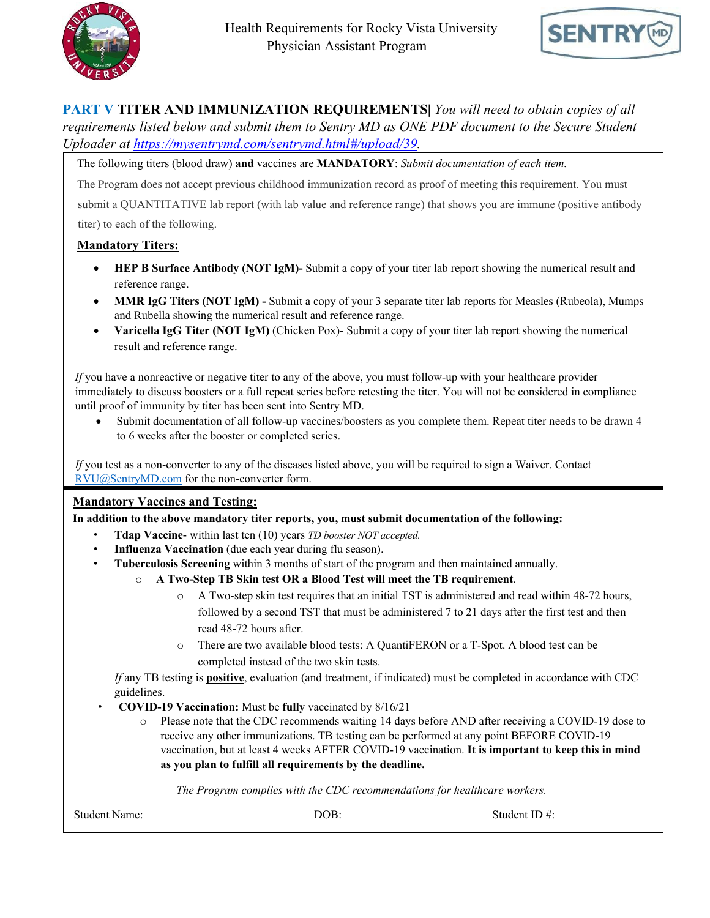



**PART V TITER AND IMMUNIZATION REQUIREMENTS|** *You will need to obtain copies of all requirements listed below and submit them to Sentry MD as ONE PDF document to the Secure Student Uploader at [https://mysentrymd.com/sentrymd.html#/upload/39.](https://mysentrymd.com/sentrymd.html#/upload/39)*

The following titers (blood draw) **and** vaccines are **MANDATORY**: *Submit documentation of each item.*

The Program does not accept previous childhood immunization record as proof of meeting this requirement. You must submit a QUANTITATIVE lab report (with lab value and reference range) that shows you are immune (positive antibody titer) to each of the following.

### **Mandatory Titers:**

- **HEP B Surface Antibody (NOT IgM)-** Submit a copy of your titer lab report showing the numerical result and reference range.
- **MMR IgG Titers (NOT IgM) -** Submit a copy of your 3 separate titer lab reports for Measles (Rubeola), Mumps and Rubella showing the numerical result and reference range.
- **Varicella IgG Titer (NOT IgM)** (Chicken Pox)- Submit a copy of your titer lab report showing the numerical result and reference range.

*If* you have a nonreactive or negative titer to any of the above, you must follow-up with your healthcare provider immediately to discuss boosters or a full repeat series before retesting the titer. You will not be considered in compliance until proof of immunity by titer has been sent into Sentry MD.

• Submit documentation of all follow-up vaccines/boosters as you complete them. Repeat titer needs to be drawn 4 to 6 weeks after the booster or completed series.

*If* you test as a non-converter to any of the diseases listed above, you will be required to sign a Waiver. Contact [RVU@SentryMD.com](mailto:RVU@SentryMD.com) for the non-converter form.

### **Mandatory Vaccines and Testing:**

**In addition to the above mandatory titer reports, you, must submit documentation of the following:** 

- **Tdap Vaccine** within last ten (10) years *TD booster NOT accepted.*
- **Influenza Vaccination** (due each year during flu season).
- **Tuberculosis Screening** within 3 months of start of the program and then maintained annually.
	- o **A Two-Step TB Skin test OR a Blood Test will meet the TB requirement**.
		- o A Two-step skin test requires that an initial TST is administered and read within 48-72 hours, followed by a second TST that must be administered 7 to 21 days after the first test and then read 48-72 hours after.
		- o There are two available blood tests: A QuantiFERON or a T-Spot. A blood test can be completed instead of the two skin tests.

*If* any TB testing is **positive**, evaluation (and treatment, if indicated) must be completed in accordance with CDC guidelines.

- **COVID-19 Vaccination:** Must be **fully** vaccinated by 8/16/21
	- o Please note that the CDC recommends waiting 14 days before AND after receiving a COVID-19 dose to receive any other immunizations. TB testing can be performed at any point BEFORE COVID-19 vaccination, but at least 4 weeks AFTER COVID-19 vaccination. **It is important to keep this in mind as you plan to fulfill all requirements by the deadline.**

*The Program complies with the CDC recommendations for healthcare workers.*

Student Name:  $DOB$ :  $DOB$ : Student ID #: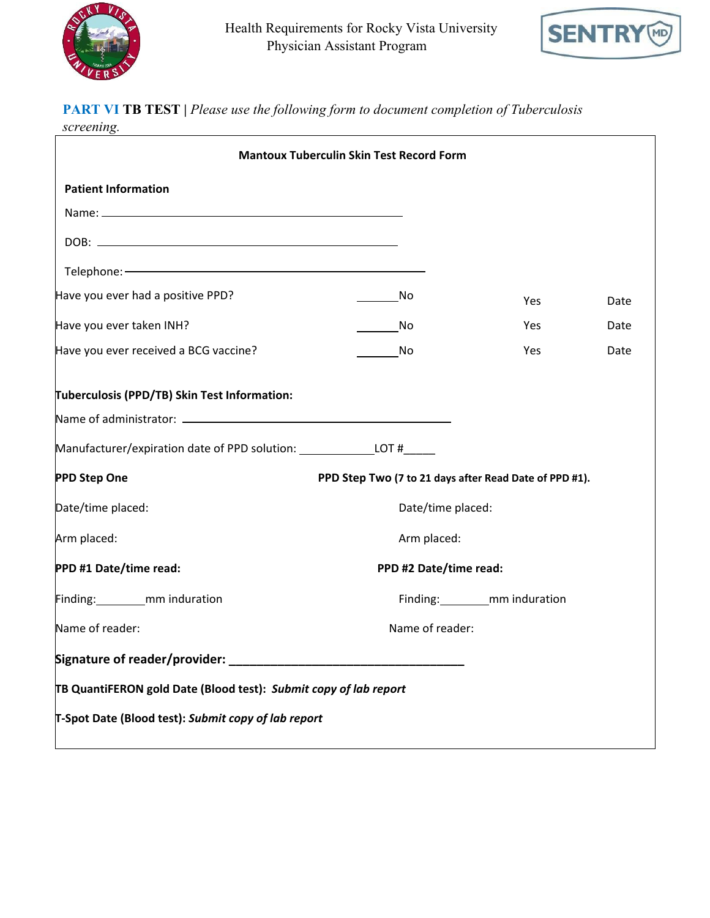



# **PART VI TB TEST |** *Please use the following form to document completion of Tuberculosis*

*screening.* 

| <b>Mantoux Tuberculin Skin Test Record Form</b>                                  |                                                        |                                   |      |  |
|----------------------------------------------------------------------------------|--------------------------------------------------------|-----------------------------------|------|--|
| <b>Patient Information</b>                                                       |                                                        |                                   |      |  |
|                                                                                  |                                                        |                                   |      |  |
|                                                                                  |                                                        |                                   |      |  |
|                                                                                  |                                                        |                                   |      |  |
| Have you ever had a positive PPD?                                                | No.                                                    | Yes                               | Date |  |
| Have you ever taken INH?                                                         | a No                                                   | Yes                               | Date |  |
| Have you ever received a BCG vaccine?                                            | in a No                                                | <b>Yes</b>                        | Date |  |
| Tuberculosis (PPD/TB) Skin Test Information:                                     |                                                        |                                   |      |  |
|                                                                                  |                                                        |                                   |      |  |
| Manufacturer/expiration date of PPD solution: __________________________________ |                                                        |                                   |      |  |
| <b>PPD Step One</b>                                                              | PPD Step Two (7 to 21 days after Read Date of PPD #1). |                                   |      |  |
| Date/time placed:                                                                | Date/time placed:                                      |                                   |      |  |
| Arm placed:                                                                      | Arm placed:                                            |                                   |      |  |
| PPD #1 Date/time read:                                                           | PPD #2 Date/time read:                                 |                                   |      |  |
| Finding: _________mm induration                                                  |                                                        | Finding: __________ mm induration |      |  |
| Name of reader:                                                                  | Name of reader:                                        |                                   |      |  |
|                                                                                  |                                                        |                                   |      |  |
| TB QuantiFERON gold Date (Blood test): Submit copy of lab report                 |                                                        |                                   |      |  |
| T-Spot Date (Blood test): Submit copy of lab report                              |                                                        |                                   |      |  |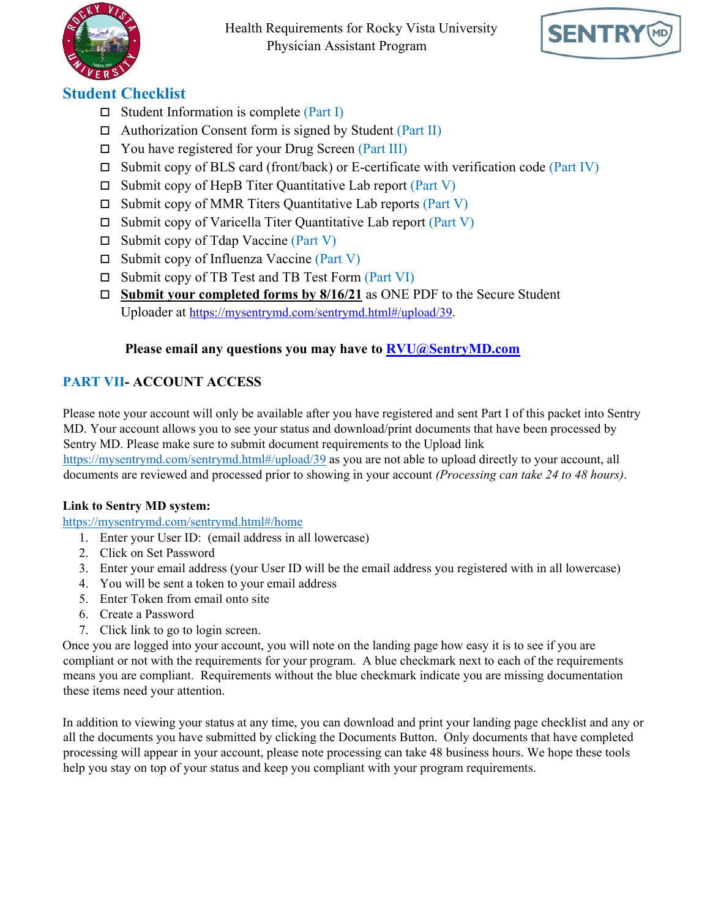

Health Requirements for Rocky Vista University Physician Assistant Program



# **Student Checklist**

- $\Box$  Student Information is complete (Part I)
- $\Box$  Authorization Consent form is signed by Student (Part II)
- $\Box$  You have registered for your Drug Screen (Part III)
- $\square$  Submit copy of BLS card (front/back) or E-certificate with verification code (Part IV)
- $\Box$  Submit copy of HepB Titer Quantitative Lab report (Part V)
- $\square$  Submit copy of MMR Titers Quantitative Lab reports (Part V)
- $\square$  Submit copy of Varicella Titer Quantitative Lab report (Part V)
- $\Box$  Submit copy of Tdap Vaccine (Part V)
- $\Box$  Submit copy of Influenza Vaccine (Part V)
- $\Box$  Submit copy of TB Test and TB Test Form (Part VI)
- **Submit your completed forms by 8/16/21** as ONE PDF to the Secure Student Uploader at [https://mysentrymd.com/sentrymd.html#/upload/3](https://mysentrymd.com/sentrymd.html#/upload)9.

## **Please email any questions you may have to RVU@SentryMD.com**

# **PART VII- ACCOUNT ACCESS**

Please note your account will only be available after you have registered and sent Part I of this packet into Sentry MD. Your account allows you to see your status and download/print documents that have been processed by Sentry MD. Please make sure to submit document requirements to the Upload link [https://mysentrymd.com/sentrymd.html#/upload/](https://mysentrymd.com/sentrymd.html#/upload)39 as you are not able to upload directly to your account, all documents are reviewed and processed prior to showing in your account *(Processing can take 24 to 48 hours)*.

### **Link to Sentry MD system:**

<https://mysentrymd.com/sentrymd.html#/home>

- 1. Enter your User ID: (email address in all lowercase)
- 2. Click on Set Password
- 3. Enter your email address (your User ID will be the email address you registered with in all lowercase)
- 4. You will be sent a token to your email address
- 5. Enter Token from email onto site
- 6. Create a Password
- 7. Click link to go to login screen.

Once you are logged into your account, you will note on the landing page how easy it is to see if you are compliant or not with the requirements for your program. A blue checkmark next to each of the requirements means you are compliant. Requirements without the blue checkmark indicate you are missing documentation these items need your attention.

In addition to viewing your status at any time, you can download and print your landing page checklist and any or all the documents you have submitted by clicking the Documents Button. Only documents that have completed processing will appear in your account, please note processing can take 48 business hours. We hope these tools help you stay on top of your status and keep you compliant with your program requirements.